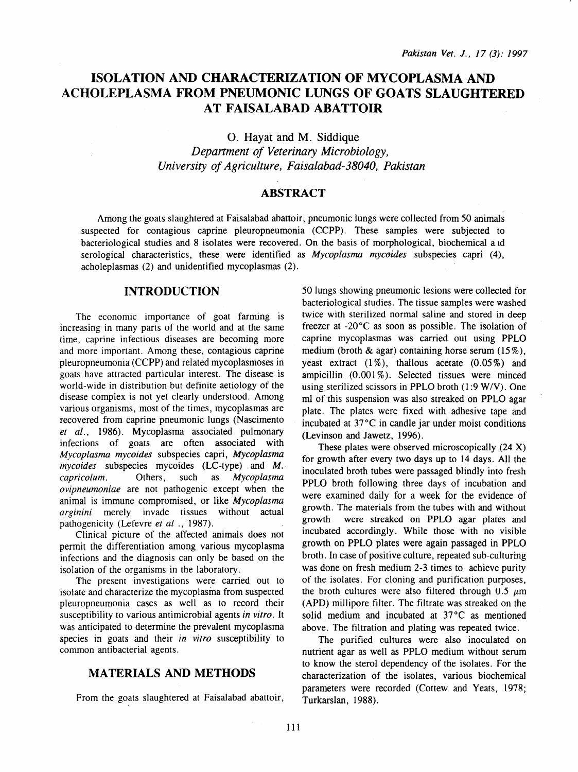# **ISOLATION AND CHARACTERIZATION OF MYCOPLASMA AND ACHOLEPLASMA FROM PNEUMONIC LUNGS OF GOATS SLAUGHTERED AT FAISALABAD ABATTOIR**

0. Hayat and M. Siddique

*Depanment of Veterinary Microbiology, University of Agriculture, Faisalabad-38040, Pakistan* 

## **ABSTRACT**

Among the goats slaughtered at Faisalabad abattoir, pneumonic lungs were collected from 50 animals suspected for contagious caprine pleuropneumonia (CCPP). These samples were subjected to bacteriological studies and 8 isolates were recovered. On the basis of morphological, biochemical a 1d serological characteristics, these were identified as *Mycoplasma mycoides* subspecies capri (4), acholeplasmas (2) and unidentified mycoplasmas (2).

## **INTRODUCTION**

The economic importance of goat farming is increasing in many parts of the world and at the same time, caprine infectious diseases are becoming more and more important. Among these, contagious caprine pleuropneumonia (CCPP) and related mycoplasmoses in goats have attracted particular interest. The disease is world-wide in distribution but definite aetiology of the disease complex is not yet clearly understood. Among various organisms, most of the times, mycoplasmas are recovered from caprine pneumonic lungs (Nascimento *et al.,* 1986). Mycoplasma associated pulmonary infections of goats are often associated with *Mycoplasma mycoides* subspecies capri, *Mycoplasma mycoides* subspecies mycoides (LC-type) . and *M. capricolum.* Others, such as *Mycoplasma ovipneumoniae* are not pathogenic except when the animal is immune compromised, or like *Mycoplasma arginini* merely invade tissues without actual pathogenicity (Lefevre et al., 1987).

Clinical picture of the affected animals does not permit the differentiation among various mycoplasma infections and the diagnosis can only be based on the isolation of the organisms in the laboratory.

The present investigations were carried out to isolate and characterize the mycoplasma from suspected pleuropneumonia cases as well as to record their susceptibility to various antimicrobial agents *in vitro.* It was anticipated to determine the prevalent mycoplasma species in goats and their *in vitro* susceptibility to common antibacterial agents.

#### **MATERIALS AND METHODS**

From the goats slaughtered at Faisalabad abattoir,

50 lungs showing pneumonic lesions were collected for bacteriological studies. The tissue samples were washed twice with sterilized normal saline and stored in deep freezer at -20°C as soon as possible. The isolation of caprine mycoplasmas was carried out using PPLO medium (broth  $\&$  agar) containing horse serum (15%), yeast extract  $(1\%)$ , thallous acetate  $(0.05\%)$  and ampicillin  $(0.001\%)$ . Selected tissues were minced using sterilized scissors in PPLO broth  $(1.9 \text{ W/V})$ . One m1 of this suspension was also streaked on PPLO agar plate. The plates were fixed with adhesive tape and incubated at 37°C in candle jar under moist conditions (Levinson and Jawetz, 1996).

These plates were observed microscopically (24 X) for growth after every two days up to 14 days. All the inoculated broth tubes were passaged blindly into fresh PPLO broth following three days of incubation and were examined daily for a week for the evidence of growth. The materials from the tubes with and without growth were streaked on PPLO agar plates and incubated accordingly. While those with no visible growth on PPLO plates were again passaged in PPLO broth. In case of positive culture, repeated sub-culturing was done on fresh medium 2-3 times to achieve purity of the isolates. For cloning and purification purposes, the broth cultures were also filtered through 0.5  $\mu$ m (APD) millipore filter. The filtrate was streaked on the solid medium and incubated at 37°C as mentioned above. The filtration and plating was repeated twice.

The purified cultures were also inoculated on nutrient agar as well as PPLO medium without serum to know the sterol dependency of the isolates. For the characterization of the isolates, various biochemical parameters were recorded (Cottew and Yeats, 1978; Turkarslan, 1988).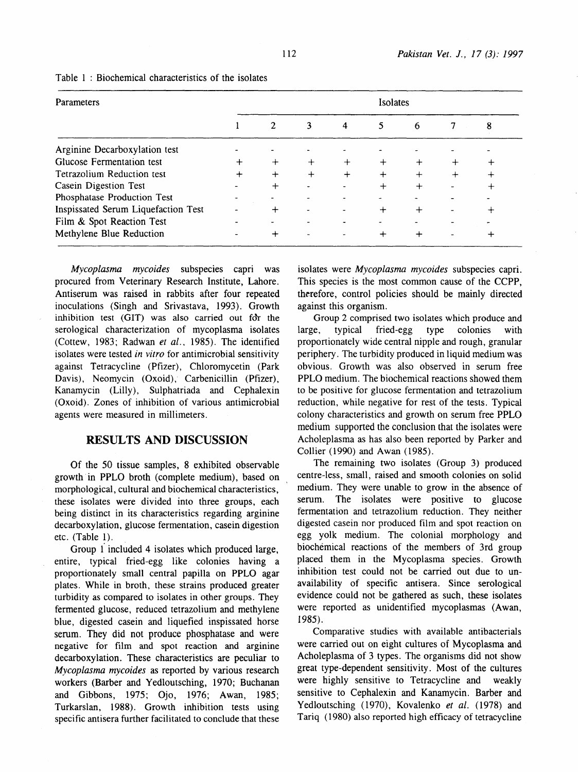| Parameters                          | Isolates |                |   |                |         |           |   |   |
|-------------------------------------|----------|----------------|---|----------------|---------|-----------|---|---|
|                                     |          | $\overline{2}$ | 3 | $\overline{4}$ | 5       | 6         | 7 | 8 |
| Arginine Decarboxylation test       |          |                |   |                |         |           |   |   |
| Glucose Fermentation test           |          | $\pm$          |   |                | $\,+\,$ |           |   |   |
| Tetrazolium Reduction test          |          | $\div$         |   | $^{+}$         | $\div$  | $^+$      |   |   |
| Casein Digestion Test               |          | ┿              |   |                | $\,$    | $\ddot{}$ |   |   |
| Phosphatase Production Test         |          |                |   |                |         |           |   |   |
| Inspissated Serum Liquefaction Test |          | ┿              |   |                | ┿       |           |   |   |
| Film & Spot Reaction Test           |          |                |   |                |         |           |   |   |
| Methylene Blue Reduction            |          |                |   |                | ┿       | ╇         |   | ÷ |

#### Table 1 : Biochemical characteristics of the isolates

*Mycoplasma mycoides* subspecies capri was procured from Veterinary Research Institute, Lahore. Antiserum was raised in rabbits after four repeated inoculations (Singh and Srivastava, 1993). Growth inhibition test (GIT) was also carried out for the serological characterization of mycoplasma isolates (Cottew, 1983; Radwan *et al ..* 1985). The identified isolates were tested *in vitro* for antimicrobial sensitivity against Tetracycline (Pfizer), Chloromycetin (Park Davis), Neomycin (Oxoid), Carbenicillin (Pfizer), Kanamycin (Lilly), Sulphatriada and Cephalexin (Oxoid). Zones of inhibition of various antimicrobial agents were measured in millimeters.

#### **RESULTS AND DISCUSSION**

Of the 50 tissue samples, 8 exhibited observable growth in PPLO broth (complete medium), based on morphological, cultural and biochemical characteristics, these isolates were divided into three groups, each being distinct in its characteristics regarding arginine decarboxylation, glucose fermentation, casein digestion etc. (Table 1).

Group 1 included 4 isolates which produced large, entire, typical fried-egg like colonies having a proportionately small central papilla on PPLO agar plates. While in broth, these strains produced greater turbidity as compared to isolates in other groups. They fermented glucose, reduced tetrazolium and methylene blue, digested casein and liquefied inspissated horse serum. They did not produce phosphatase and were negative for film and spot reaction and arginine decarboxylation. These characteristics are peculiar to *Mycoplasma mycoides* as reported by various research workers (Barber and Yedloutsching, 1970; Buchanan and Gibbons, 1975; Ojo, 1976; Awan, 1985; Turkarslan, 1988). Growth inhibition tests using specific antisera further facilitated to conclude that these isolates were *Mycoplasma mycoides* subspecies capri. This species is the most common cause of the CCPP, therefore, control policies should be mainly directed against this organism.

Group 2 comprised two isolates which produce and large, typical fried-egg type colonies with proportionately wide central nipple and rough, granular periphery. The turbidity produced in liquid medium was obvious. Growth was also observed in serum free PPLO medium. The biochemical reactions showed them to be positive for glucose fermentation and tetrazolium reduction, while negative for rest of the tests. Typical colony characteristics and growth on serum free PPLO medium supported the conclusion that the isolates were Acholeplasma as has also been reported by Parker and Collier (1990) and Awan (1985).

The remaining two isolates (Group 3) produced centre-less, small, raised and smooth colonies on solid medium. They were unable to grow in the absence of serum. The isolates were positive to glucose fermentation and tetrazolium reduction. They neither digested casein nor produced film and spot reaction on egg yolk medium. The colonial morphology and biochemical reactions of the members of 3rd group placed them in the Mycoplasma species. Growth inhibition test could not be carried out due to unavailability of specific antisera. Since serological evidence could not be gathered as such, these isolates were reported as unidentified mycoplasmas (Awan, 1985).

Comparative studies with available antibacterials were carried out on eight cultures of Mycoplasma and Acholeplasma of 3 types. The organisms did not show great type-dependent sensitivity. Most of the cultures were highly sensitive to Tetracycline and weakly sensitive to Cephalexin and Kanamycin. Barber and Yedloutsching (1970), Kovalenko *et al.* (1978) and Tariq ( 1980) also reported high efficacy of tetracycline